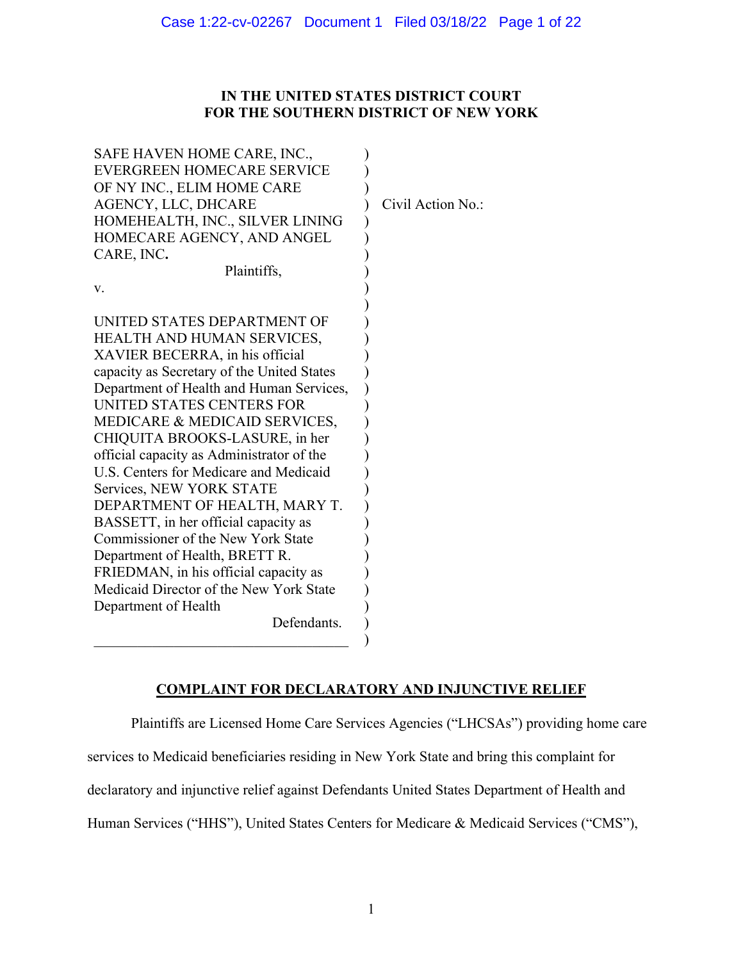## **IN THE UNITED STATES DISTRICT COURT FOR THE SOUTHERN DISTRICT OF NEW YORK**

| SAFE HAVEN HOME CARE, INC.,<br><b>EVERGREEN HOMECARE SERVICE</b><br>OF NY INC., ELIM HOME CARE<br>AGENCY, LLC, DHCARE | Civil Action No.: |
|-----------------------------------------------------------------------------------------------------------------------|-------------------|
|                                                                                                                       |                   |
| HOMEHEALTH, INC., SILVER LINING                                                                                       |                   |
| HOMECARE AGENCY, AND ANGEL                                                                                            |                   |
| CARE, INC.                                                                                                            |                   |
| Plaintiffs,                                                                                                           |                   |
| V.                                                                                                                    |                   |
|                                                                                                                       |                   |
| UNITED STATES DEPARTMENT OF                                                                                           |                   |
| HEALTH AND HUMAN SERVICES,                                                                                            |                   |
| XAVIER BECERRA, in his official                                                                                       |                   |
| capacity as Secretary of the United States                                                                            |                   |
| Department of Health and Human Services,                                                                              |                   |
| UNITED STATES CENTERS FOR                                                                                             |                   |
| MEDICARE & MEDICAID SERVICES,                                                                                         |                   |
| CHIQUITA BROOKS-LASURE, in her                                                                                        |                   |
| official capacity as Administrator of the                                                                             |                   |
| U.S. Centers for Medicare and Medicaid                                                                                |                   |
| Services, NEW YORK STATE                                                                                              |                   |
| DEPARTMENT OF HEALTH, MARY T.                                                                                         |                   |
| BASSETT, in her official capacity as                                                                                  |                   |
| Commissioner of the New York State                                                                                    |                   |
|                                                                                                                       |                   |
| Department of Health, BRETT R.                                                                                        |                   |
| FRIEDMAN, in his official capacity as                                                                                 |                   |
| Medicaid Director of the New York State                                                                               |                   |
| Department of Health                                                                                                  |                   |
| Defendants.                                                                                                           |                   |
|                                                                                                                       |                   |

# **COMPLAINT FOR DECLARATORY AND INJUNCTIVE RELIEF**

Plaintiffs are Licensed Home Care Services Agencies ("LHCSAs") providing home care

services to Medicaid beneficiaries residing in New York State and bring this complaint for

declaratory and injunctive relief against Defendants United States Department of Health and

Human Services ("HHS"), United States Centers for Medicare & Medicaid Services ("CMS"),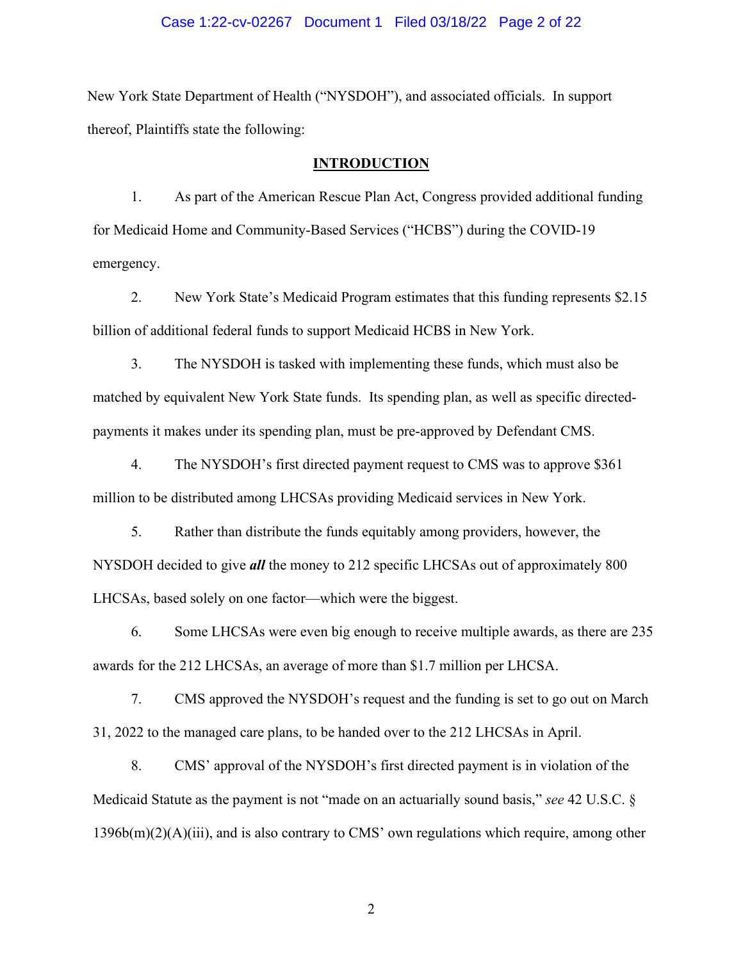#### Case 1:22-cv-02267 Document 1 Filed 03/18/22 Page 2 of 22

New York State Department of Health ("NYSDOH"), and associated officials. In support thereof, Plaintiffs state the following:

#### **INTRODUCTION**

1. As part of the American Rescue Plan Act, Congress provided additional funding for Medicaid Home and Community-Based Services ("HCBS") during the COVID-19 emergency.

2. New York State's Medicaid Program estimates that this funding represents \$2.15 billion of additional federal funds to support Medicaid HCBS in New York.

3. The NYSDOH is tasked with implementing these funds, which must also be matched by equivalent New York State funds. Its spending plan, as well as specific directedpayments it makes under its spending plan, must be pre-approved by Defendant CMS.

4. The NYSDOH's first directed payment request to CMS was to approve \$361 million to be distributed among LHCSAs providing Medicaid services in New York.

5. Rather than distribute the funds equitably among providers, however, the NYSDOH decided to give *all* the money to 212 specific LHCSAs out of approximately 800 LHCSAs, based solely on one factor—which were the biggest.

6. Some LHCSAs were even big enough to receive multiple awards, as there are 235 awards for the 212 LHCSAs, an average of more than \$1.7 million per LHCSA.

7. CMS approved the NYSDOH's request and the funding is set to go out on March 31, 2022 to the managed care plans, to be handed over to the 212 LHCSAs in April.

8. CMS' approval of the NYSDOH's first directed payment is in violation of the Medicaid Statute as the payment is not "made on an actuarially sound basis," *see* 42 U.S.C. § 1396b(m)(2)(A)(iii), and is also contrary to CMS' own regulations which require, among other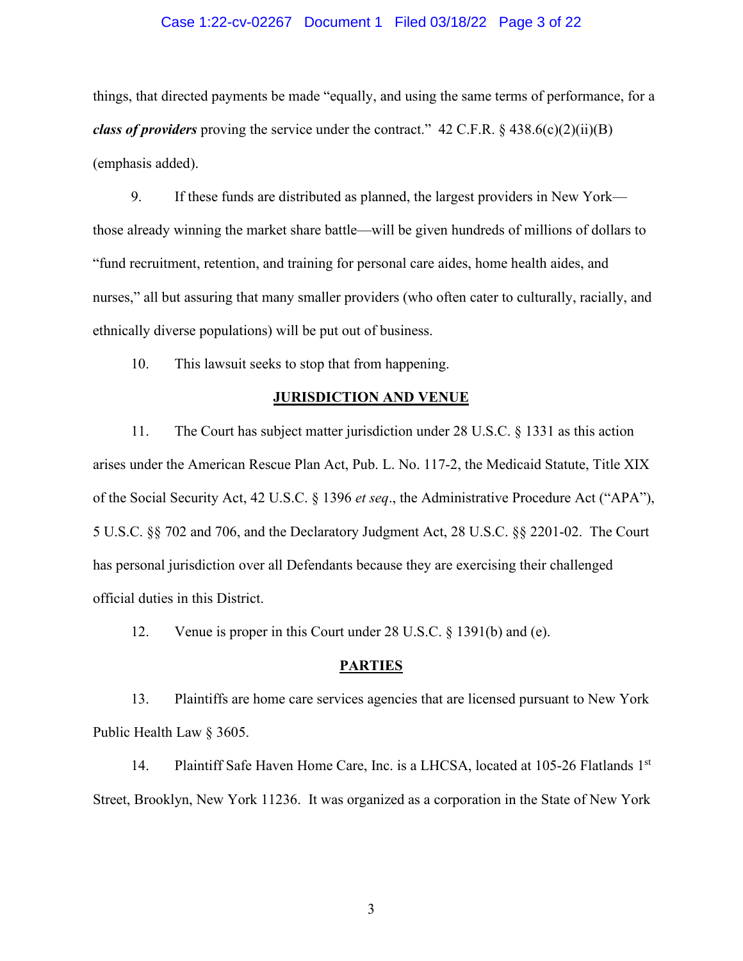#### Case 1:22-cv-02267 Document 1 Filed 03/18/22 Page 3 of 22

things, that directed payments be made "equally, and using the same terms of performance, for a *class of providers* proving the service under the contract." 42 C.F.R. § 438.6(c)(2)(ii)(B) (emphasis added).

9. If these funds are distributed as planned, the largest providers in New York those already winning the market share battle—will be given hundreds of millions of dollars to "fund recruitment, retention, and training for personal care aides, home health aides, and nurses," all but assuring that many smaller providers (who often cater to culturally, racially, and ethnically diverse populations) will be put out of business.

10. This lawsuit seeks to stop that from happening.

#### **JURISDICTION AND VENUE**

11. The Court has subject matter jurisdiction under 28 U.S.C. § 1331 as this action arises under the American Rescue Plan Act, Pub. L. No. 117-2, the Medicaid Statute, Title XIX of the Social Security Act, 42 U.S.C. § 1396 *et seq*., the Administrative Procedure Act ("APA"), 5 U.S.C. §§ 702 and 706, and the Declaratory Judgment Act, 28 U.S.C. §§ 2201-02. The Court has personal jurisdiction over all Defendants because they are exercising their challenged official duties in this District.

12. Venue is proper in this Court under 28 U.S.C. § 1391(b) and (e).

#### **PARTIES**

13. Plaintiffs are home care services agencies that are licensed pursuant to New York Public Health Law § 3605.

14. Plaintiff Safe Haven Home Care, Inc. is a LHCSA, located at 105-26 Flatlands 1st Street, Brooklyn, New York 11236. It was organized as a corporation in the State of New York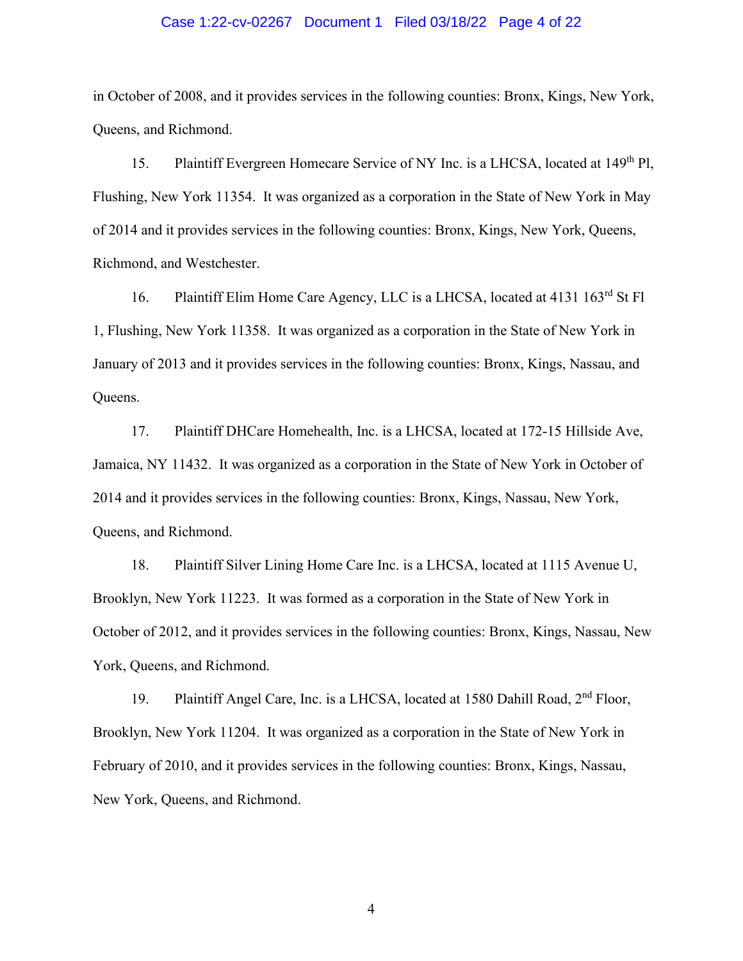#### Case 1:22-cv-02267 Document 1 Filed 03/18/22 Page 4 of 22

in October of 2008, and it provides services in the following counties: Bronx, Kings, New York, Queens, and Richmond.

15. Plaintiff Evergreen Homecare Service of NY Inc. is a LHCSA, located at 149<sup>th</sup> Pl, Flushing, New York 11354. It was organized as a corporation in the State of New York in May of 2014 and it provides services in the following counties: Bronx, Kings, New York, Queens, Richmond, and Westchester.

16. Plaintiff Elim Home Care Agency, LLC is a LHCSA, located at 4131 163<sup>rd</sup> St Fl 1, Flushing, New York 11358. It was organized as a corporation in the State of New York in January of 2013 and it provides services in the following counties: Bronx, Kings, Nassau, and Queens.

17. Plaintiff DHCare Homehealth, Inc. is a LHCSA, located at 172-15 Hillside Ave, Jamaica, NY 11432. It was organized as a corporation in the State of New York in October of 2014 and it provides services in the following counties: Bronx, Kings, Nassau, New York, Queens, and Richmond.

18. Plaintiff Silver Lining Home Care Inc. is a LHCSA, located at 1115 Avenue U, Brooklyn, New York 11223. It was formed as a corporation in the State of New York in October of 2012, and it provides services in the following counties: Bronx, Kings, Nassau, New York, Queens, and Richmond.

19. Plaintiff Angel Care, Inc. is a LHCSA, located at 1580 Dahill Road, 2<sup>nd</sup> Floor, Brooklyn, New York 11204. It was organized as a corporation in the State of New York in February of 2010, and it provides services in the following counties: Bronx, Kings, Nassau, New York, Queens, and Richmond.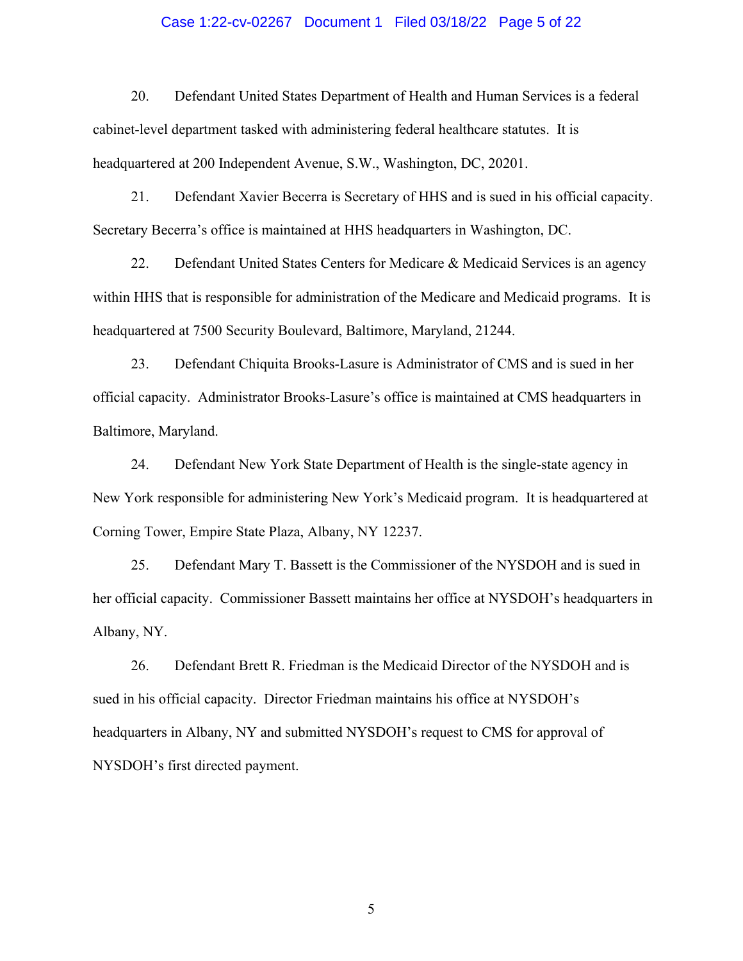#### Case 1:22-cv-02267 Document 1 Filed 03/18/22 Page 5 of 22

20. Defendant United States Department of Health and Human Services is a federal cabinet-level department tasked with administering federal healthcare statutes. It is headquartered at 200 Independent Avenue, S.W., Washington, DC, 20201.

21. Defendant Xavier Becerra is Secretary of HHS and is sued in his official capacity. Secretary Becerra's office is maintained at HHS headquarters in Washington, DC.

22. Defendant United States Centers for Medicare & Medicaid Services is an agency within HHS that is responsible for administration of the Medicare and Medicaid programs. It is headquartered at 7500 Security Boulevard, Baltimore, Maryland, 21244.

23. Defendant Chiquita Brooks-Lasure is Administrator of CMS and is sued in her official capacity. Administrator Brooks-Lasure's office is maintained at CMS headquarters in Baltimore, Maryland.

24. Defendant New York State Department of Health is the single-state agency in New York responsible for administering New York's Medicaid program. It is headquartered at Corning Tower, Empire State Plaza, Albany, NY 12237.

25. Defendant Mary T. Bassett is the Commissioner of the NYSDOH and is sued in her official capacity. Commissioner Bassett maintains her office at NYSDOH's headquarters in Albany, NY.

26. Defendant Brett R. Friedman is the Medicaid Director of the NYSDOH and is sued in his official capacity. Director Friedman maintains his office at NYSDOH's headquarters in Albany, NY and submitted NYSDOH's request to CMS for approval of NYSDOH's first directed payment.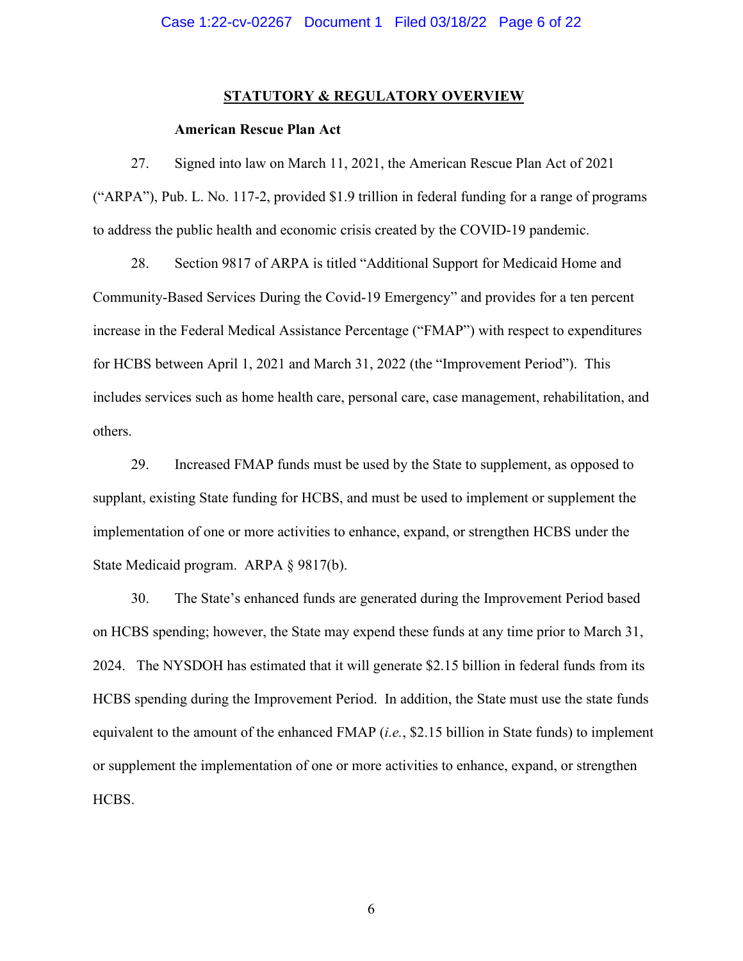#### **STATUTORY & REGULATORY OVERVIEW**

#### **American Rescue Plan Act**

27. Signed into law on March 11, 2021, the American Rescue Plan Act of 2021 ("ARPA"), Pub. L. No. 117-2, provided \$1.9 trillion in federal funding for a range of programs to address the public health and economic crisis created by the COVID-19 pandemic.

28. Section 9817 of ARPA is titled "Additional Support for Medicaid Home and Community-Based Services During the Covid-19 Emergency" and provides for a ten percent increase in the Federal Medical Assistance Percentage ("FMAP") with respect to expenditures for HCBS between April 1, 2021 and March 31, 2022 (the "Improvement Period"). This includes services such as home health care, personal care, case management, rehabilitation, and others.

29. Increased FMAP funds must be used by the State to supplement, as opposed to supplant, existing State funding for HCBS, and must be used to implement or supplement the implementation of one or more activities to enhance, expand, or strengthen HCBS under the State Medicaid program. ARPA § 9817(b).

30. The State's enhanced funds are generated during the Improvement Period based on HCBS spending; however, the State may expend these funds at any time prior to March 31, 2024. The NYSDOH has estimated that it will generate \$2.15 billion in federal funds from its HCBS spending during the Improvement Period. In addition, the State must use the state funds equivalent to the amount of the enhanced FMAP (*i.e.*, \$2.15 billion in State funds) to implement or supplement the implementation of one or more activities to enhance, expand, or strengthen HCBS.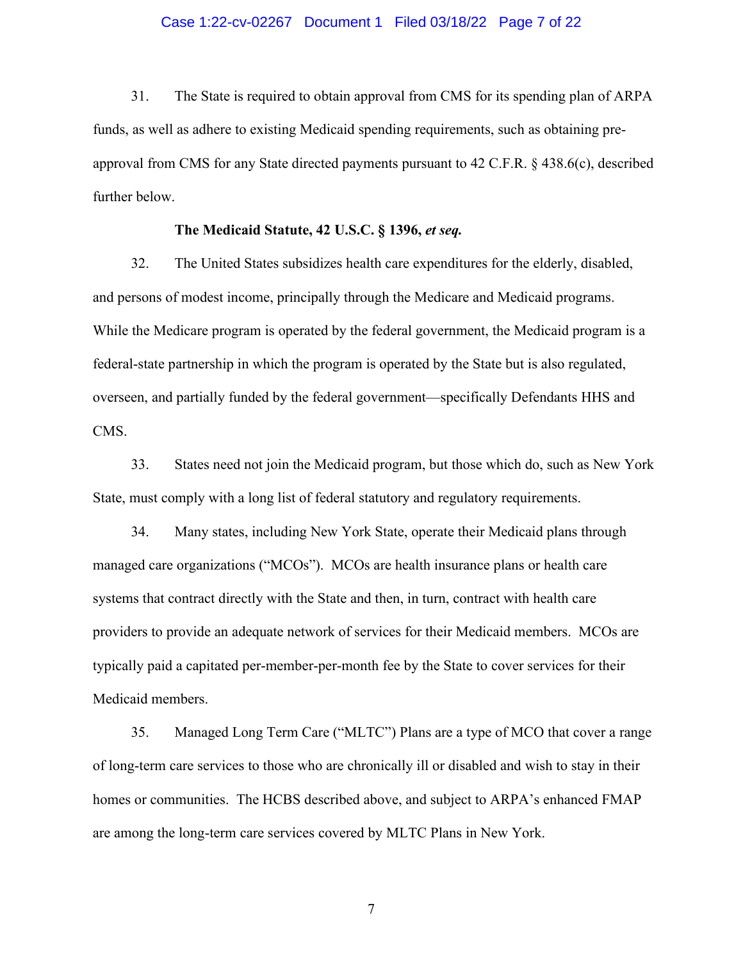#### Case 1:22-cv-02267 Document 1 Filed 03/18/22 Page 7 of 22

31. The State is required to obtain approval from CMS for its spending plan of ARPA funds, as well as adhere to existing Medicaid spending requirements, such as obtaining preapproval from CMS for any State directed payments pursuant to 42 C.F.R. § 438.6(c), described further below.

### **The Medicaid Statute, 42 U.S.C. § 1396,** *et seq.*

32. The United States subsidizes health care expenditures for the elderly, disabled, and persons of modest income, principally through the Medicare and Medicaid programs. While the Medicare program is operated by the federal government, the Medicaid program is a federal-state partnership in which the program is operated by the State but is also regulated, overseen, and partially funded by the federal government—specifically Defendants HHS and CMS.

33. States need not join the Medicaid program, but those which do, such as New York State, must comply with a long list of federal statutory and regulatory requirements.

34. Many states, including New York State, operate their Medicaid plans through managed care organizations ("MCOs"). MCOs are health insurance plans or health care systems that contract directly with the State and then, in turn, contract with health care providers to provide an adequate network of services for their Medicaid members. MCOs are typically paid a capitated per-member-per-month fee by the State to cover services for their Medicaid members.

35. Managed Long Term Care ("MLTC") Plans are a type of MCO that cover a range of long-term care services to those who are chronically ill or disabled and wish to stay in their homes or communities. The HCBS described above, and subject to ARPA's enhanced FMAP are among the long-term care services covered by MLTC Plans in New York.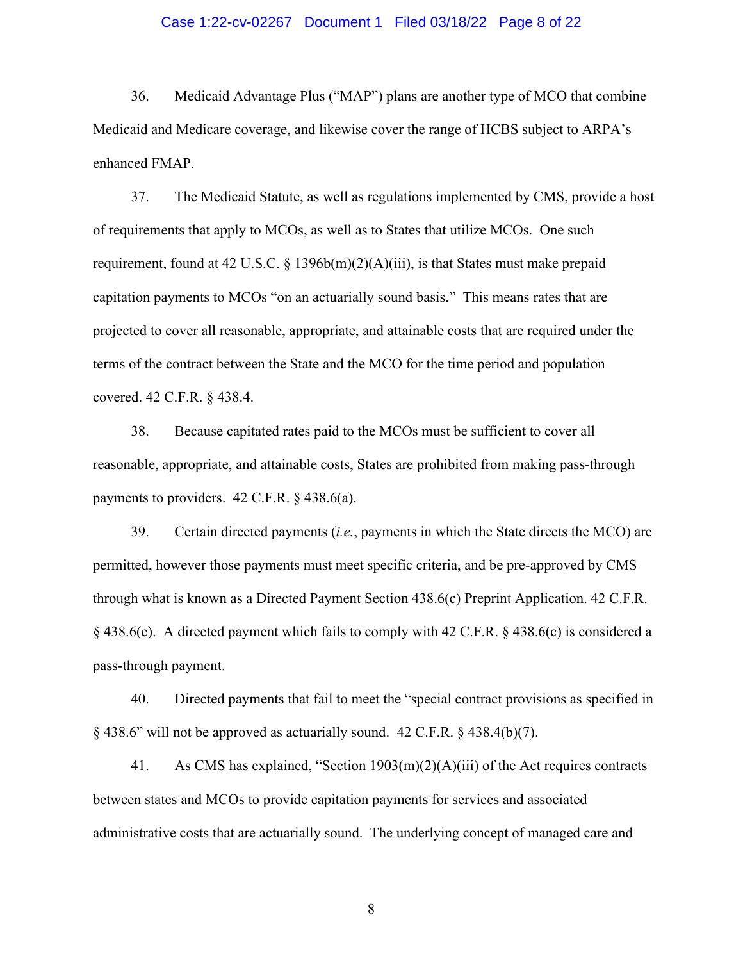#### Case 1:22-cv-02267 Document 1 Filed 03/18/22 Page 8 of 22

36. Medicaid Advantage Plus ("MAP") plans are another type of MCO that combine Medicaid and Medicare coverage, and likewise cover the range of HCBS subject to ARPA's enhanced FMAP.

37. The Medicaid Statute, as well as regulations implemented by CMS, provide a host of requirements that apply to MCOs, as well as to States that utilize MCOs. One such requirement, found at 42 U.S.C. § 1396b(m)(2)(A)(iii), is that States must make prepaid capitation payments to MCOs "on an actuarially sound basis." This means rates that are projected to cover all reasonable, appropriate, and attainable costs that are required under the terms of the contract between the State and the MCO for the time period and population covered. 42 C.F.R. § 438.4.

38. Because capitated rates paid to the MCOs must be sufficient to cover all reasonable, appropriate, and attainable costs, States are prohibited from making pass-through payments to providers. 42 C.F.R. § 438.6(a).

39. Certain directed payments (*i.e.*, payments in which the State directs the MCO) are permitted, however those payments must meet specific criteria, and be pre-approved by CMS through what is known as a Directed Payment Section 438.6(c) Preprint Application. 42 C.F.R. § 438.6(c). A directed payment which fails to comply with 42 C.F.R. § 438.6(c) is considered a pass-through payment.

40. Directed payments that fail to meet the "special contract provisions as specified in § 438.6" will not be approved as actuarially sound. 42 C.F.R. § 438.4(b)(7).

41. As CMS has explained, "Section 1903(m)(2)(A)(iii) of the Act requires contracts between states and MCOs to provide capitation payments for services and associated administrative costs that are actuarially sound. The underlying concept of managed care and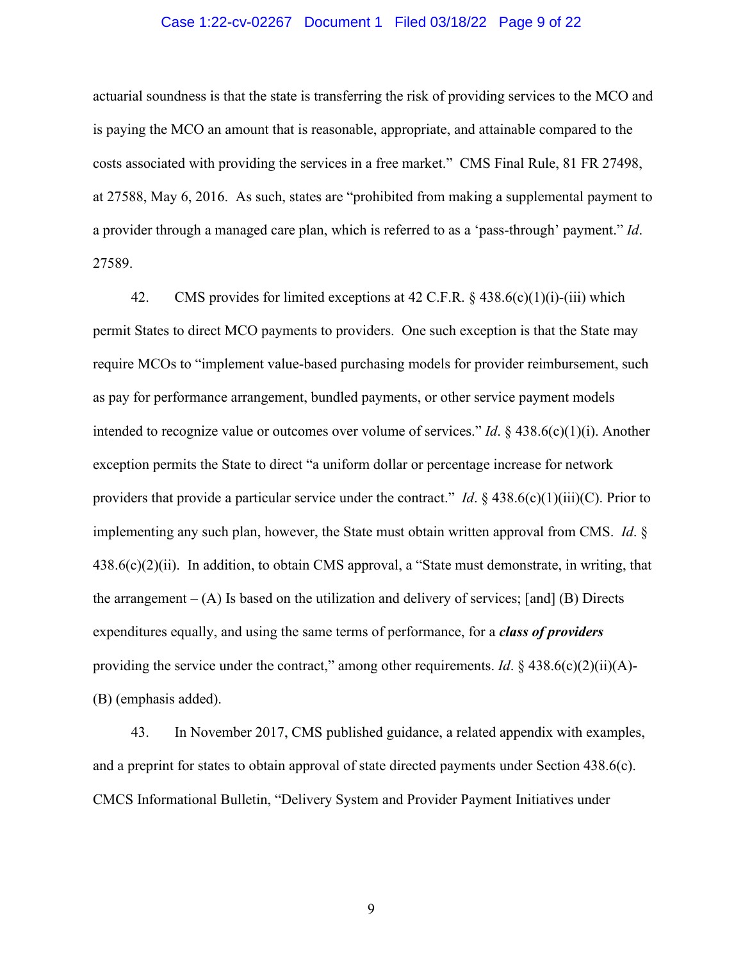#### Case 1:22-cv-02267 Document 1 Filed 03/18/22 Page 9 of 22

actuarial soundness is that the state is transferring the risk of providing services to the MCO and is paying the MCO an amount that is reasonable, appropriate, and attainable compared to the costs associated with providing the services in a free market." CMS Final Rule, 81 FR 27498, at 27588, May 6, 2016. As such, states are "prohibited from making a supplemental payment to a provider through a managed care plan, which is referred to as a 'pass-through' payment." *Id*. 27589.

42. CMS provides for limited exceptions at 42 C.F.R. § 438.6(c)(1)(i)-(iii) which permit States to direct MCO payments to providers. One such exception is that the State may require MCOs to "implement value-based purchasing models for provider reimbursement, such as pay for performance arrangement, bundled payments, or other service payment models intended to recognize value or outcomes over volume of services." *Id*. § 438.6(c)(1)(i). Another exception permits the State to direct "a uniform dollar or percentage increase for network providers that provide a particular service under the contract." *Id*. § 438.6(c)(1)(iii)(C). Prior to implementing any such plan, however, the State must obtain written approval from CMS. *Id*. §  $438.6(c)(2)(ii)$ . In addition, to obtain CMS approval, a "State must demonstrate, in writing, that the arrangement  $- (A)$  Is based on the utilization and delivery of services; [and] (B) Directs expenditures equally, and using the same terms of performance, for a *class of providers* providing the service under the contract," among other requirements. *Id*. § 438.6(c)(2)(ii)(A)-(B) (emphasis added).

43. In November 2017, CMS published guidance, a related appendix with examples, and a preprint for states to obtain approval of state directed payments under Section 438.6(c). CMCS Informational Bulletin, "Delivery System and Provider Payment Initiatives under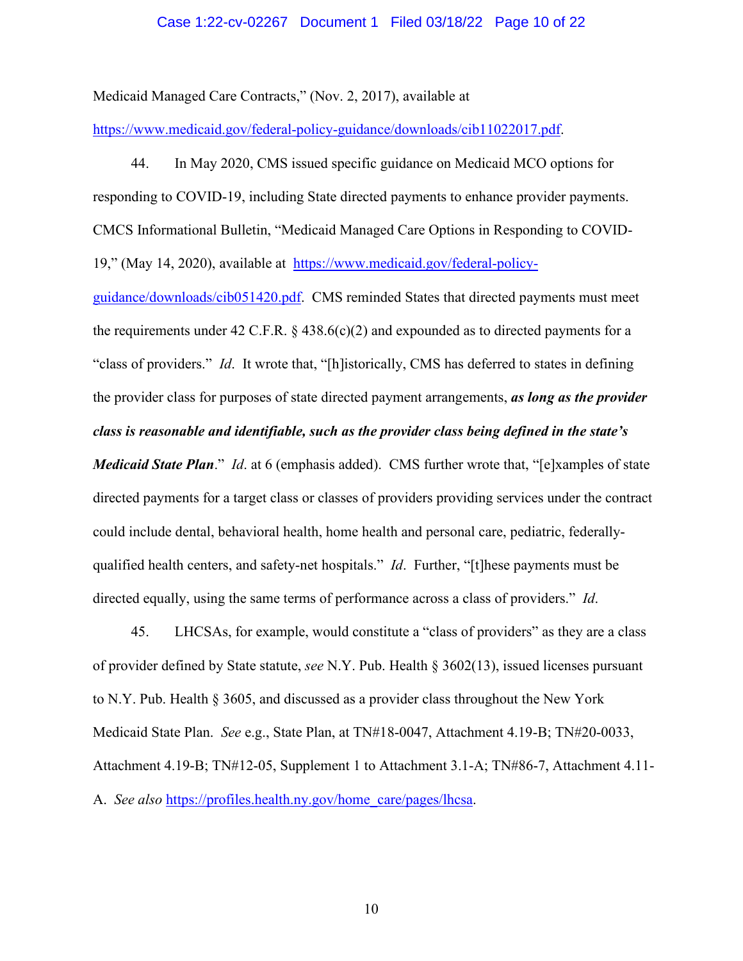#### Case 1:22-cv-02267 Document 1 Filed 03/18/22 Page 10 of 22

Medicaid Managed Care Contracts," (Nov. 2, 2017), available at

[https://www.medicaid.gov/federal-policy-guidance/downloads/cib11022017.pdf.](https://www.medicaid.gov/federal-policy-guidance/downloads/cib11022017.pdf)

44. In May 2020, CMS issued specific guidance on Medicaid MCO options for responding to COVID-19, including State directed payments to enhance provider payments. CMCS Informational Bulletin, "Medicaid Managed Care Options in Responding to COVID-19," (May 14, 2020), available at [https://www.medicaid.gov/federal-policy-](https://www.medicaid.gov/federal-policy-guidance/downloads/cib051420.pdf)

[guidance/downloads/cib051420.pdf.](https://www.medicaid.gov/federal-policy-guidance/downloads/cib051420.pdf) CMS reminded States that directed payments must meet the requirements under 42 C.F.R.  $\S$  438.6(c)(2) and expounded as to directed payments for a "class of providers." *Id*. It wrote that, "[h]istorically, CMS has deferred to states in defining the provider class for purposes of state directed payment arrangements, *as long as the provider class is reasonable and identifiable, such as the provider class being defined in the state's* 

*Medicaid State Plan*." *Id*. at 6 (emphasis added). CMS further wrote that, "[e]xamples of state directed payments for a target class or classes of providers providing services under the contract could include dental, behavioral health, home health and personal care, pediatric, federallyqualified health centers, and safety-net hospitals." *Id*. Further, "[t]hese payments must be directed equally, using the same terms of performance across a class of providers." *Id*.

45. LHCSAs, for example, would constitute a "class of providers" as they are a class of provider defined by State statute, *see* N.Y. Pub. Health § 3602(13), issued licenses pursuant to N.Y. Pub. Health § 3605, and discussed as a provider class throughout the New York Medicaid State Plan. *See* e.g., State Plan, at TN#18-0047, Attachment 4.19-B; TN#20-0033, Attachment 4.19-B; TN#12-05, Supplement 1 to Attachment 3.1-A; TN#86-7, Attachment 4.11- A. *See also* [https://profiles.health.ny.gov/home\\_care/pages/lhcsa.](https://profiles.health.ny.gov/home_care/pages/lhcsa)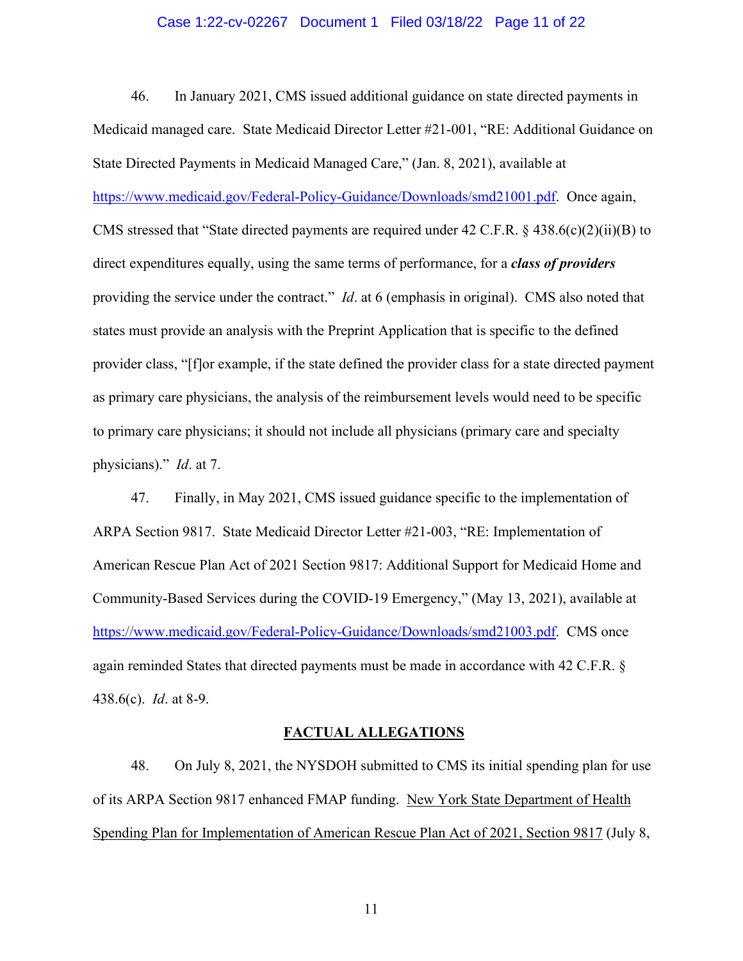#### Case 1:22-cv-02267 Document 1 Filed 03/18/22 Page 11 of 22

46. In January 2021, CMS issued additional guidance on state directed payments in Medicaid managed care. State Medicaid Director Letter #21-001, "RE: Additional Guidance on State Directed Payments in Medicaid Managed Care," (Jan. 8, 2021), available at [https://www.medicaid.gov/Federal-Policy-Guidance/Downloads/smd21001.pdf.](https://www.medicaid.gov/Federal-Policy-Guidance/Downloads/smd21001.pdf) Once again, CMS stressed that "State directed payments are required under 42 C.F.R.  $\S$  438.6(c)(2)(ii)(B) to direct expenditures equally, using the same terms of performance, for a *class of providers*  providing the service under the contract." *Id*. at 6 (emphasis in original). CMS also noted that states must provide an analysis with the Preprint Application that is specific to the defined provider class, "[f]or example, if the state defined the provider class for a state directed payment as primary care physicians, the analysis of the reimbursement levels would need to be specific to primary care physicians; it should not include all physicians (primary care and specialty physicians)." *Id*. at 7.

47. Finally, in May 2021, CMS issued guidance specific to the implementation of ARPA Section 9817. State Medicaid Director Letter #21-003, "RE: Implementation of American Rescue Plan Act of 2021 Section 9817: Additional Support for Medicaid Home and Community-Based Services during the COVID-19 Emergency," (May 13, 2021), available at [https://www.medicaid.gov/Federal-Policy-Guidance/Downloads/smd21003.pdf.](https://www.medicaid.gov/Federal-Policy-Guidance/Downloads/smd21003.pdf) CMS once again reminded States that directed payments must be made in accordance with 42 C.F.R. § 438.6(c). *Id*. at 8-9.

#### **FACTUAL ALLEGATIONS**

48. On July 8, 2021, the NYSDOH submitted to CMS its initial spending plan for use of its ARPA Section 9817 enhanced FMAP funding. New York State Department of Health Spending Plan for Implementation of American Rescue Plan Act of 2021, Section 9817 (July 8,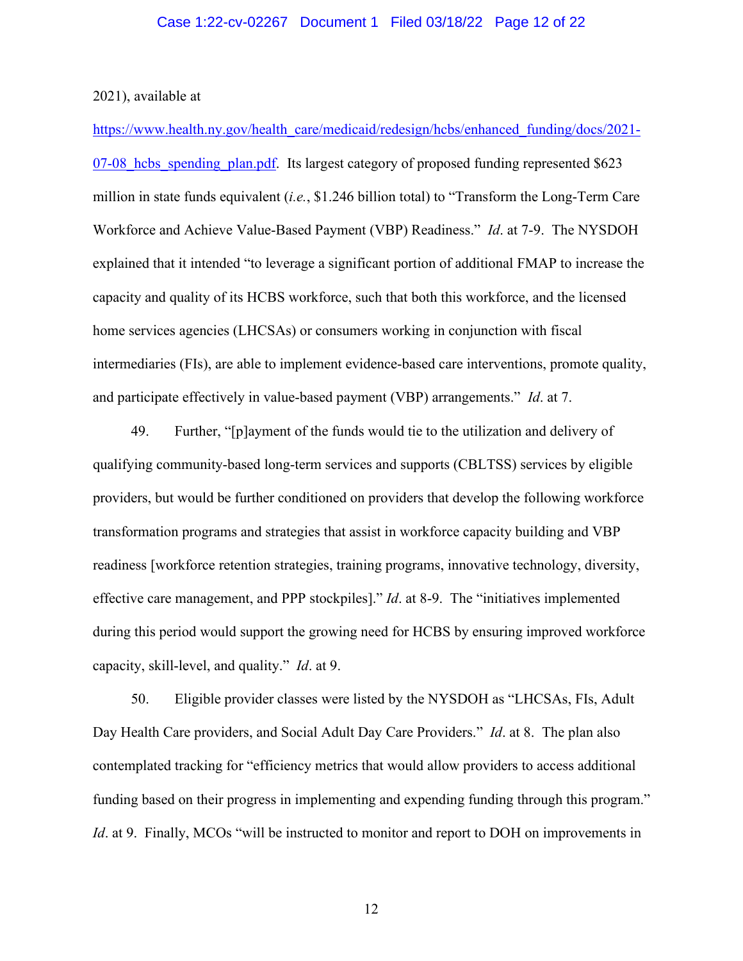2021), available at

[https://www.health.ny.gov/health\\_care/medicaid/redesign/hcbs/enhanced\\_funding/docs/2021-](https://www.health.ny.gov/health_care/medicaid/redesign/hcbs/enhanced_funding/docs/2021-07-08_hcbs_spending_plan.pdf)  $07-08$  hcbs spending plan.pdf. Its largest category of proposed funding represented  $$623$ million in state funds equivalent (*i.e.*, \$1.246 billion total) to "Transform the Long-Term Care Workforce and Achieve Value-Based Payment (VBP) Readiness." *Id*. at 7-9. The NYSDOH explained that it intended "to leverage a significant portion of additional FMAP to increase the capacity and quality of its HCBS workforce, such that both this workforce, and the licensed home services agencies (LHCSAs) or consumers working in conjunction with fiscal intermediaries (FIs), are able to implement evidence-based care interventions, promote quality, and participate effectively in value-based payment (VBP) arrangements." *Id*. at 7.

49. Further, "[p]ayment of the funds would tie to the utilization and delivery of qualifying community-based long-term services and supports (CBLTSS) services by eligible providers, but would be further conditioned on providers that develop the following workforce transformation programs and strategies that assist in workforce capacity building and VBP readiness [workforce retention strategies, training programs, innovative technology, diversity, effective care management, and PPP stockpiles]." *Id*. at 8-9. The "initiatives implemented during this period would support the growing need for HCBS by ensuring improved workforce capacity, skill-level, and quality." *Id*. at 9.

50. Eligible provider classes were listed by the NYSDOH as "LHCSAs, FIs, Adult Day Health Care providers, and Social Adult Day Care Providers." *Id*. at 8. The plan also contemplated tracking for "efficiency metrics that would allow providers to access additional funding based on their progress in implementing and expending funding through this program." *Id.* at 9. Finally, MCOs "will be instructed to monitor and report to DOH on improvements in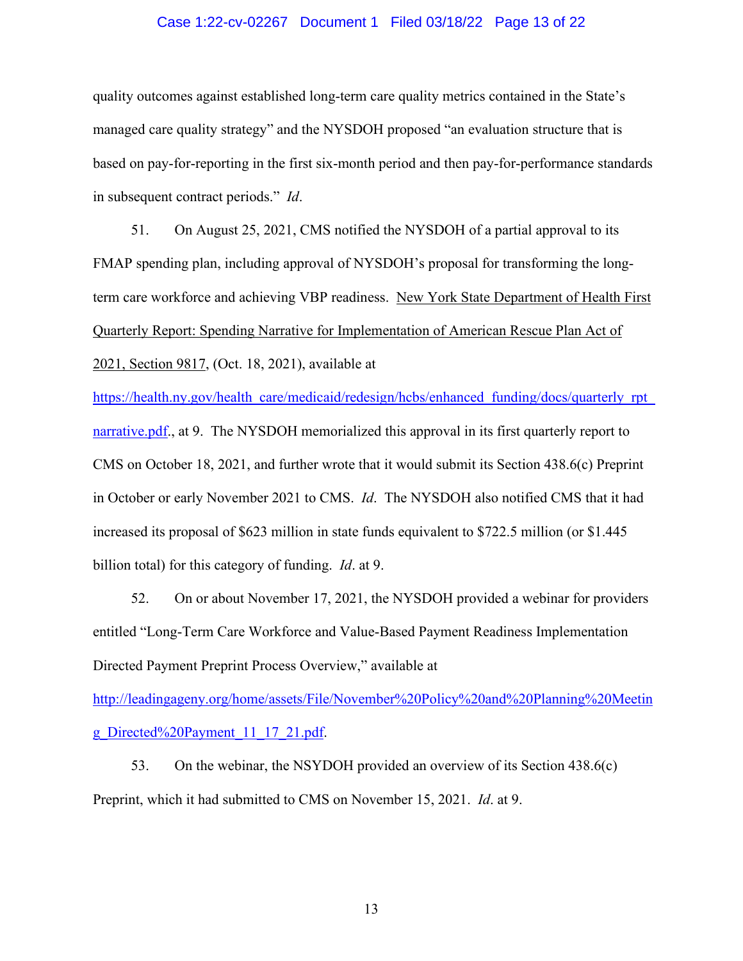#### Case 1:22-cv-02267 Document 1 Filed 03/18/22 Page 13 of 22

quality outcomes against established long-term care quality metrics contained in the State's managed care quality strategy" and the NYSDOH proposed "an evaluation structure that is based on pay-for-reporting in the first six-month period and then pay-for-performance standards in subsequent contract periods." *Id*.

51. On August 25, 2021, CMS notified the NYSDOH of a partial approval to its FMAP spending plan, including approval of NYSDOH's proposal for transforming the longterm care workforce and achieving VBP readiness. New York State Department of Health First Quarterly Report: Spending Narrative for Implementation of American Rescue Plan Act of 2021, Section 9817, (Oct. 18, 2021), available at

[https://health.ny.gov/health\\_care/medicaid/redesign/hcbs/enhanced\\_funding/docs/quarterly\\_rpt\\_](https://health.ny.gov/health_care/medicaid/redesign/hcbs/enhanced_funding/docs/quarterly_rpt_narrative.pdf) [narrative.pdf.](https://health.ny.gov/health_care/medicaid/redesign/hcbs/enhanced_funding/docs/quarterly_rpt_narrative.pdf), at 9. The NYSDOH memorialized this approval in its first quarterly report to CMS on October 18, 2021, and further wrote that it would submit its Section 438.6(c) Preprint in October or early November 2021 to CMS. *Id*. The NYSDOH also notified CMS that it had increased its proposal of \$623 million in state funds equivalent to \$722.5 million (or \$1.445 billion total) for this category of funding. *Id*. at 9.

52. On or about November 17, 2021, the NYSDOH provided a webinar for providers entitled "Long-Term Care Workforce and Value-Based Payment Readiness Implementation Directed Payment Preprint Process Overview," available at

[http://leadingageny.org/home/assets/File/November%20Policy%20and%20Planning%20Meetin](http://leadingageny.org/home/assets/File/November%20Policy%20and%20Planning%20Meeting_Directed%20Payment_11_17_21.pdf) [g\\_Directed%20Payment\\_11\\_17\\_21.pdf.](http://leadingageny.org/home/assets/File/November%20Policy%20and%20Planning%20Meeting_Directed%20Payment_11_17_21.pdf)

53. On the webinar, the NSYDOH provided an overview of its Section 438.6(c) Preprint, which it had submitted to CMS on November 15, 2021. *Id*. at 9.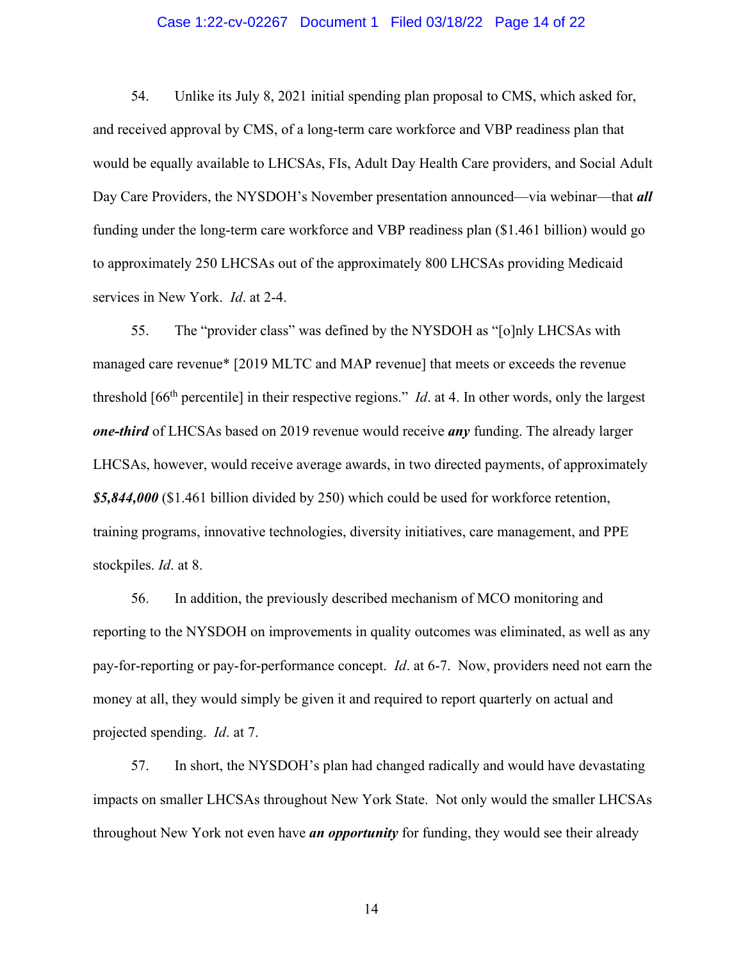#### Case 1:22-cv-02267 Document 1 Filed 03/18/22 Page 14 of 22

54. Unlike its July 8, 2021 initial spending plan proposal to CMS, which asked for, and received approval by CMS, of a long-term care workforce and VBP readiness plan that would be equally available to LHCSAs, FIs, Adult Day Health Care providers, and Social Adult Day Care Providers, the NYSDOH's November presentation announced—via webinar—that *all*  funding under the long-term care workforce and VBP readiness plan (\$1.461 billion) would go to approximately 250 LHCSAs out of the approximately 800 LHCSAs providing Medicaid services in New York. *Id*. at 2-4.

55. The "provider class" was defined by the NYSDOH as "[o]nly LHCSAs with managed care revenue\* [2019 MLTC and MAP revenue] that meets or exceeds the revenue threshold [66th percentile] in their respective regions." *Id*. at 4. In other words, only the largest *one-third* of LHCSAs based on 2019 revenue would receive *any* funding. The already larger LHCSAs, however, would receive average awards, in two directed payments, of approximately *\$5,844,000* (\$1.461 billion divided by 250) which could be used for workforce retention, training programs, innovative technologies, diversity initiatives, care management, and PPE stockpiles. *Id*. at 8.

56. In addition, the previously described mechanism of MCO monitoring and reporting to the NYSDOH on improvements in quality outcomes was eliminated, as well as any pay-for-reporting or pay-for-performance concept. *Id*. at 6-7. Now, providers need not earn the money at all, they would simply be given it and required to report quarterly on actual and projected spending. *Id*. at 7.

57. In short, the NYSDOH's plan had changed radically and would have devastating impacts on smaller LHCSAs throughout New York State. Not only would the smaller LHCSAs throughout New York not even have *an opportunity* for funding, they would see their already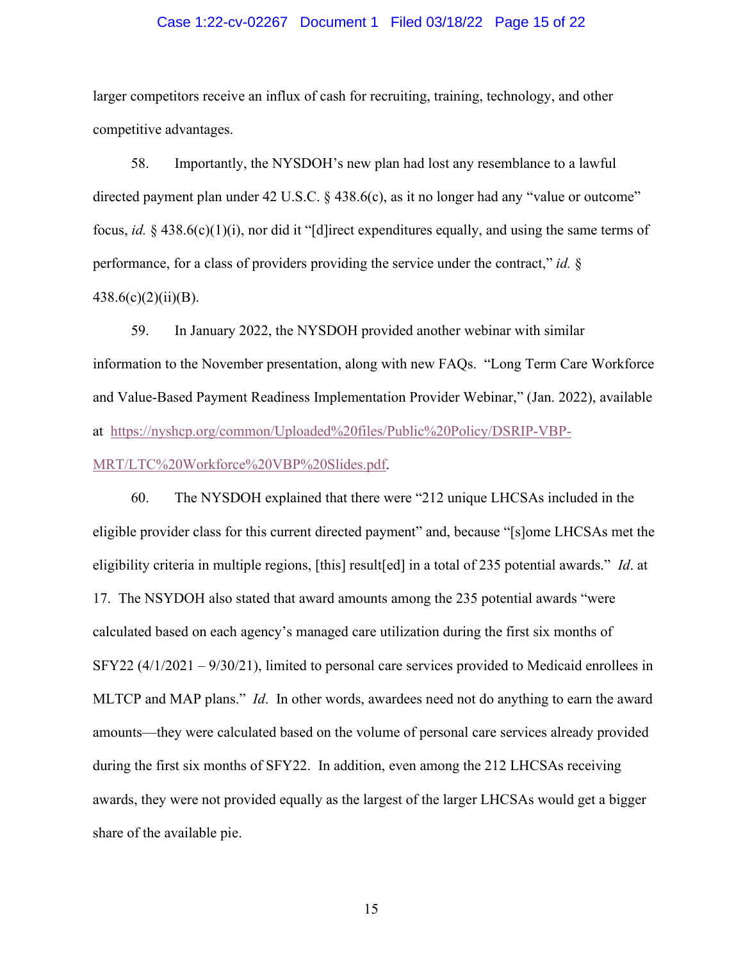#### Case 1:22-cv-02267 Document 1 Filed 03/18/22 Page 15 of 22

larger competitors receive an influx of cash for recruiting, training, technology, and other competitive advantages.

58. Importantly, the NYSDOH's new plan had lost any resemblance to a lawful directed payment plan under 42 U.S.C. § 438.6(c), as it no longer had any "value or outcome" focus, *id.* § 438.6(c)(1)(i), nor did it "[d]irect expenditures equally, and using the same terms of performance, for a class of providers providing the service under the contract," *id.* §  $438.6(c)(2)(ii)(B).$ 

59. In January 2022, the NYSDOH provided another webinar with similar information to the November presentation, along with new FAQs. "Long Term Care Workforce and Value-Based Payment Readiness Implementation Provider Webinar," (Jan. 2022), available at [https://nyshcp.org/common/Uploaded%20files/Public%20Policy/DSRIP-VBP-](https://nyshcp.org/common/Uploaded%20files/Public%20Policy/DSRIP-VBP-MRT/LTC%20Workforce%20VBP%20Slides.pdf)

[MRT/LTC%20Workforce%20VBP%20Slides.pdf.](https://nyshcp.org/common/Uploaded%20files/Public%20Policy/DSRIP-VBP-MRT/LTC%20Workforce%20VBP%20Slides.pdf)

60. The NYSDOH explained that there were "212 unique LHCSAs included in the eligible provider class for this current directed payment" and, because "[s]ome LHCSAs met the eligibility criteria in multiple regions, [this] result[ed] in a total of 235 potential awards." *Id*. at 17. The NSYDOH also stated that award amounts among the 235 potential awards "were calculated based on each agency's managed care utilization during the first six months of SFY22 (4/1/2021 – 9/30/21), limited to personal care services provided to Medicaid enrollees in MLTCP and MAP plans." *Id*. In other words, awardees need not do anything to earn the award amounts—they were calculated based on the volume of personal care services already provided during the first six months of SFY22. In addition, even among the 212 LHCSAs receiving awards, they were not provided equally as the largest of the larger LHCSAs would get a bigger share of the available pie.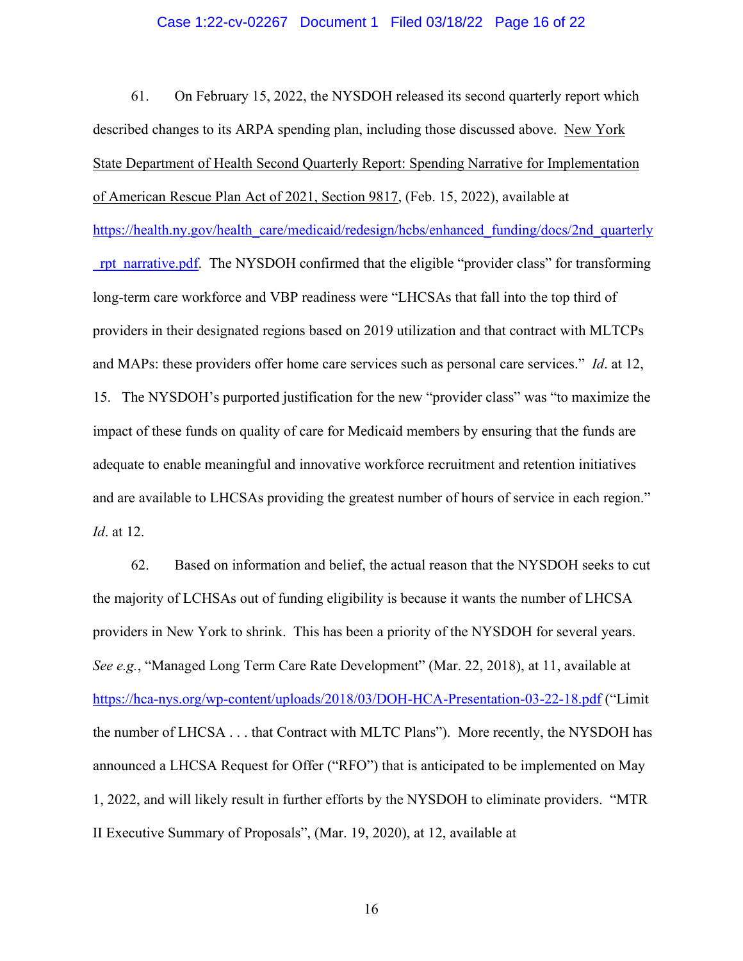#### Case 1:22-cv-02267 Document 1 Filed 03/18/22 Page 16 of 22

61. On February 15, 2022, the NYSDOH released its second quarterly report which described changes to its ARPA spending plan, including those discussed above. New York State Department of Health Second Quarterly Report: Spending Narrative for Implementation of American Rescue Plan Act of 2021, Section 9817, (Feb. 15, 2022), available at [https://health.ny.gov/health\\_care/medicaid/redesign/hcbs/enhanced\\_funding/docs/2nd\\_quarterly](https://health.ny.gov/health_care/medicaid/redesign/hcbs/enhanced_funding/docs/2nd_quarterly_rpt_narrative.pdf) rpt narrative.pdf. The NYSDOH confirmed that the eligible "provider class" for transforming long-term care workforce and VBP readiness were "LHCSAs that fall into the top third of providers in their designated regions based on 2019 utilization and that contract with MLTCPs and MAPs: these providers offer home care services such as personal care services." *Id*. at 12, 15. The NYSDOH's purported justification for the new "provider class" was "to maximize the impact of these funds on quality of care for Medicaid members by ensuring that the funds are adequate to enable meaningful and innovative workforce recruitment and retention initiatives and are available to LHCSAs providing the greatest number of hours of service in each region." *Id*. at 12.

62. Based on information and belief, the actual reason that the NYSDOH seeks to cut the majority of LCHSAs out of funding eligibility is because it wants the number of LHCSA providers in New York to shrink. This has been a priority of the NYSDOH for several years. *See e.g.*, "Managed Long Term Care Rate Development" (Mar. 22, 2018), at 11, available at <https://hca-nys.org/wp-content/uploads/2018/03/DOH-HCA-Presentation-03-22-18.pdf> ("Limit the number of LHCSA . . . that Contract with MLTC Plans"). More recently, the NYSDOH has announced a LHCSA Request for Offer ("RFO") that is anticipated to be implemented on May 1, 2022, and will likely result in further efforts by the NYSDOH to eliminate providers. "MTR II Executive Summary of Proposals", (Mar. 19, 2020), at 12, available at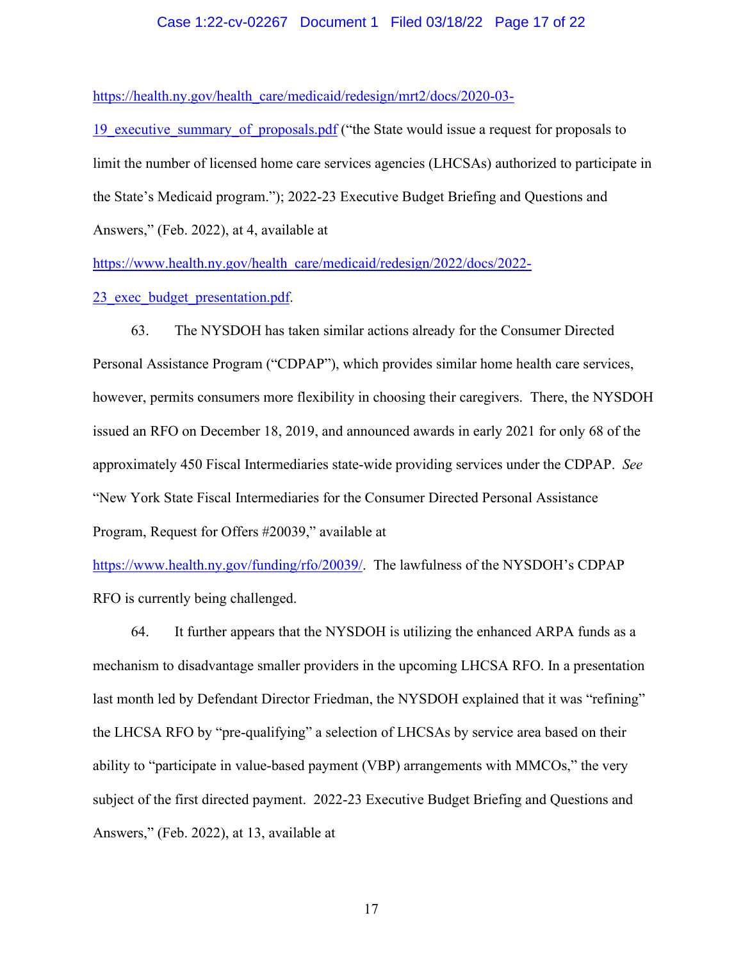#### Case 1:22-cv-02267 Document 1 Filed 03/18/22 Page 17 of 22

[https://health.ny.gov/health\\_care/medicaid/redesign/mrt2/docs/2020-03-](https://health.ny.gov/health_care/medicaid/redesign/mrt2/docs/2020-03-19_executive_summary_of_proposals.pdf)

19 executive summary of proposals.pdf ("the State would issue a request for proposals to limit the number of licensed home care services agencies (LHCSAs) authorized to participate in the State's Medicaid program."); 2022-23 Executive Budget Briefing and Questions and Answers," (Feb. 2022), at 4, available at

[https://www.health.ny.gov/health\\_care/medicaid/redesign/2022/docs/2022-](https://www.health.ny.gov/health_care/medicaid/redesign/2022/docs/2022-23_exec_budget_presentation.pdf)

23 exec budget presentation.pdf.

63. The NYSDOH has taken similar actions already for the Consumer Directed Personal Assistance Program ("CDPAP"), which provides similar home health care services, however, permits consumers more flexibility in choosing their caregivers. There, the NYSDOH issued an RFO on December 18, 2019, and announced awards in early 2021 for only 68 of the approximately 450 Fiscal Intermediaries state-wide providing services under the CDPAP. *See* "New York State Fiscal Intermediaries for the Consumer Directed Personal Assistance Program, Request for Offers #20039," available at

[https://www.health.ny.gov/funding/rfo/20039/.](https://www.health.ny.gov/funding/rfo/20039/) The lawfulness of the NYSDOH's CDPAP RFO is currently being challenged.

64. It further appears that the NYSDOH is utilizing the enhanced ARPA funds as a mechanism to disadvantage smaller providers in the upcoming LHCSA RFO. In a presentation last month led by Defendant Director Friedman, the NYSDOH explained that it was "refining" the LHCSA RFO by "pre-qualifying" a selection of LHCSAs by service area based on their ability to "participate in value-based payment (VBP) arrangements with MMCOs," the very subject of the first directed payment. 2022-23 Executive Budget Briefing and Questions and Answers," (Feb. 2022), at 13, available at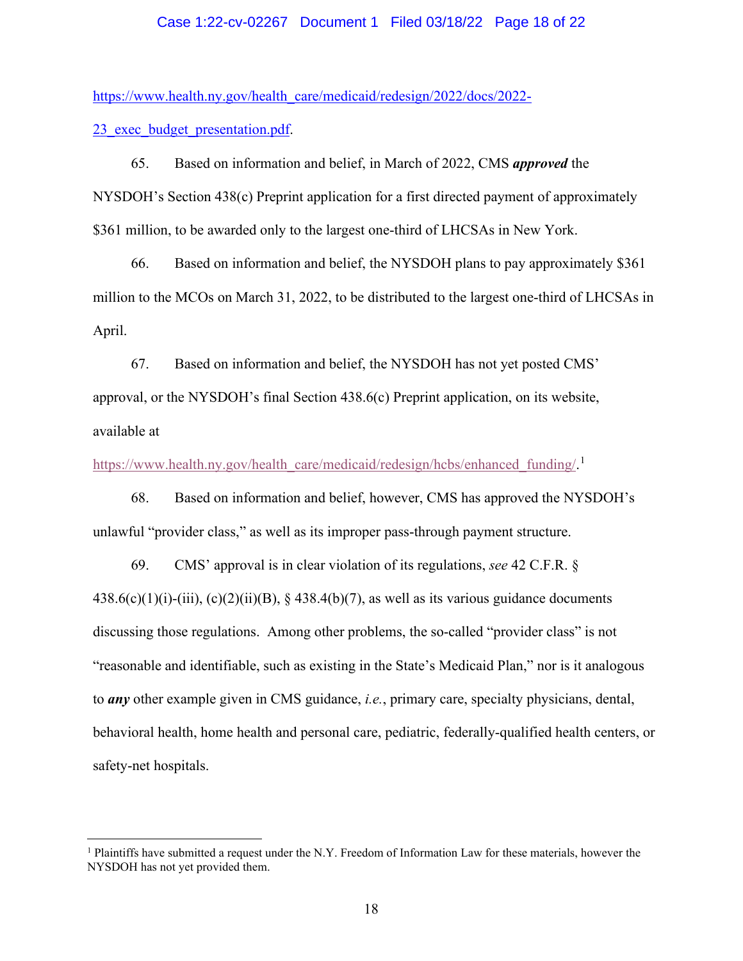#### Case 1:22-cv-02267 Document 1 Filed 03/18/22 Page 18 of 22

[https://www.health.ny.gov/health\\_care/medicaid/redesign/2022/docs/2022-](https://www.health.ny.gov/health_care/medicaid/redesign/2022/docs/2022-23_exec_budget_presentation.pdf) 23 exec budget presentation.pdf.

65. Based on information and belief, in March of 2022, CMS *approved* the NYSDOH's Section 438(c) Preprint application for a first directed payment of approximately \$361 million, to be awarded only to the largest one-third of LHCSAs in New York.

66. Based on information and belief, the NYSDOH plans to pay approximately \$361 million to the MCOs on March 31, 2022, to be distributed to the largest one-third of LHCSAs in April.

67. Based on information and belief, the NYSDOH has not yet posted CMS' approval, or the NYSDOH's final Section 438.6(c) Preprint application, on its website, available at

[https://www.health.ny.gov/health\\_care/medicaid/redesign/hcbs/enhanced\\_funding/.](https://www.health.ny.gov/health_care/medicaid/redesign/hcbs/enhanced_funding/)<sup>[1](#page-17-0)</sup>

68. Based on information and belief, however, CMS has approved the NYSDOH's unlawful "provider class," as well as its improper pass-through payment structure.

69. CMS' approval is in clear violation of its regulations, *see* 42 C.F.R. §  $438.6(c)(1)(i)-(iii), (c)(2)(ii)(B), § 438.4(b)(7),$  as well as its various guidance documents discussing those regulations. Among other problems, the so-called "provider class" is not "reasonable and identifiable, such as existing in the State's Medicaid Plan," nor is it analogous to *any* other example given in CMS guidance, *i.e.*, primary care, specialty physicians, dental, behavioral health, home health and personal care, pediatric, federally-qualified health centers, or safety-net hospitals.

<span id="page-17-0"></span> $<sup>1</sup>$  Plaintiffs have submitted a request under the N.Y. Freedom of Information Law for these materials, however the</sup> NYSDOH has not yet provided them.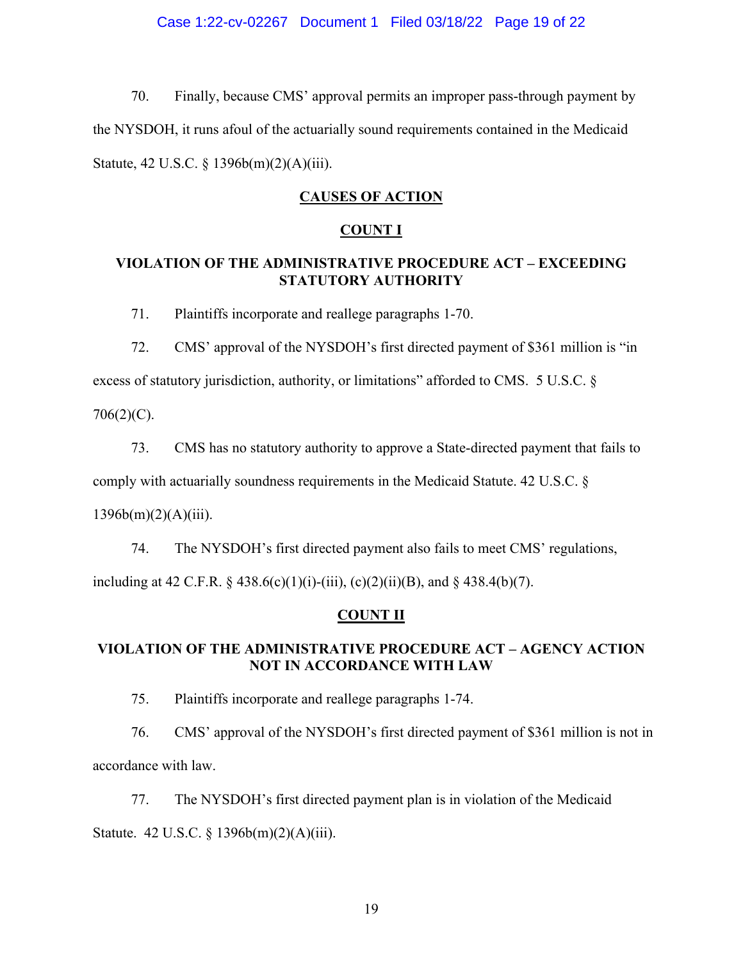### Case 1:22-cv-02267 Document 1 Filed 03/18/22 Page 19 of 22

70. Finally, because CMS' approval permits an improper pass-through payment by the NYSDOH, it runs afoul of the actuarially sound requirements contained in the Medicaid Statute, 42 U.S.C. § 1396b(m)(2)(A)(iii).

## **CAUSES OF ACTION**

### **COUNT I**

### **VIOLATION OF THE ADMINISTRATIVE PROCEDURE ACT – EXCEEDING STATUTORY AUTHORITY**

71. Plaintiffs incorporate and reallege paragraphs 1-70.

72. CMS' approval of the NYSDOH's first directed payment of \$361 million is "in

excess of statutory jurisdiction, authority, or limitations" afforded to CMS. 5 U.S.C. §

706(2)(C).

73. CMS has no statutory authority to approve a State-directed payment that fails to

comply with actuarially soundness requirements in the Medicaid Statute. 42 U.S.C. §

 $1396b(m)(2)(A)(iii)$ .

74. The NYSDOH's first directed payment also fails to meet CMS' regulations,

including at 42 C.F.R. § 438.6(c)(1)(i)-(iii), (c)(2)(ii)(B), and § 438.4(b)(7).

### **COUNT II**

### **VIOLATION OF THE ADMINISTRATIVE PROCEDURE ACT – AGENCY ACTION NOT IN ACCORDANCE WITH LAW**

75. Plaintiffs incorporate and reallege paragraphs 1-74.

76. CMS' approval of the NYSDOH's first directed payment of \$361 million is not in accordance with law.

77. The NYSDOH's first directed payment plan is in violation of the Medicaid Statute. 42 U.S.C. § 1396b(m)(2)(A)(iii).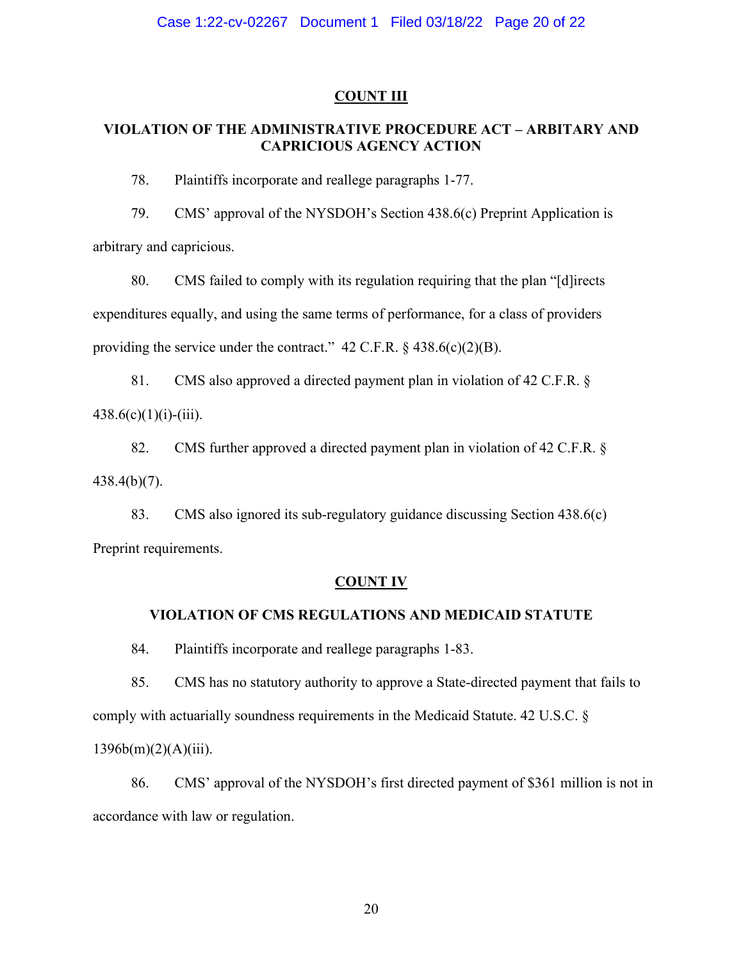### **COUNT III**

## **VIOLATION OF THE ADMINISTRATIVE PROCEDURE ACT – ARBITARY AND CAPRICIOUS AGENCY ACTION**

78. Plaintiffs incorporate and reallege paragraphs 1-77.

79. CMS' approval of the NYSDOH's Section 438.6(c) Preprint Application is arbitrary and capricious.

80. CMS failed to comply with its regulation requiring that the plan "[d]irects expenditures equally, and using the same terms of performance, for a class of providers providing the service under the contract."  $42$  C.F.R.  $\S$   $438.6(c)(2)(B)$ .

81. CMS also approved a directed payment plan in violation of 42 C.F.R. §  $438.6(c)(1)(i)-(iii)$ .

82. CMS further approved a directed payment plan in violation of 42 C.F.R. § 438.4(b)(7).

83. CMS also ignored its sub-regulatory guidance discussing Section 438.6(c) Preprint requirements.

### **COUNT IV**

### **VIOLATION OF CMS REGULATIONS AND MEDICAID STATUTE**

84. Plaintiffs incorporate and reallege paragraphs 1-83.

85. CMS has no statutory authority to approve a State-directed payment that fails to comply with actuarially soundness requirements in the Medicaid Statute. 42 U.S.C. §

 $1396b(m)(2)(A)(iii)$ .

86. CMS' approval of the NYSDOH's first directed payment of \$361 million is not in accordance with law or regulation.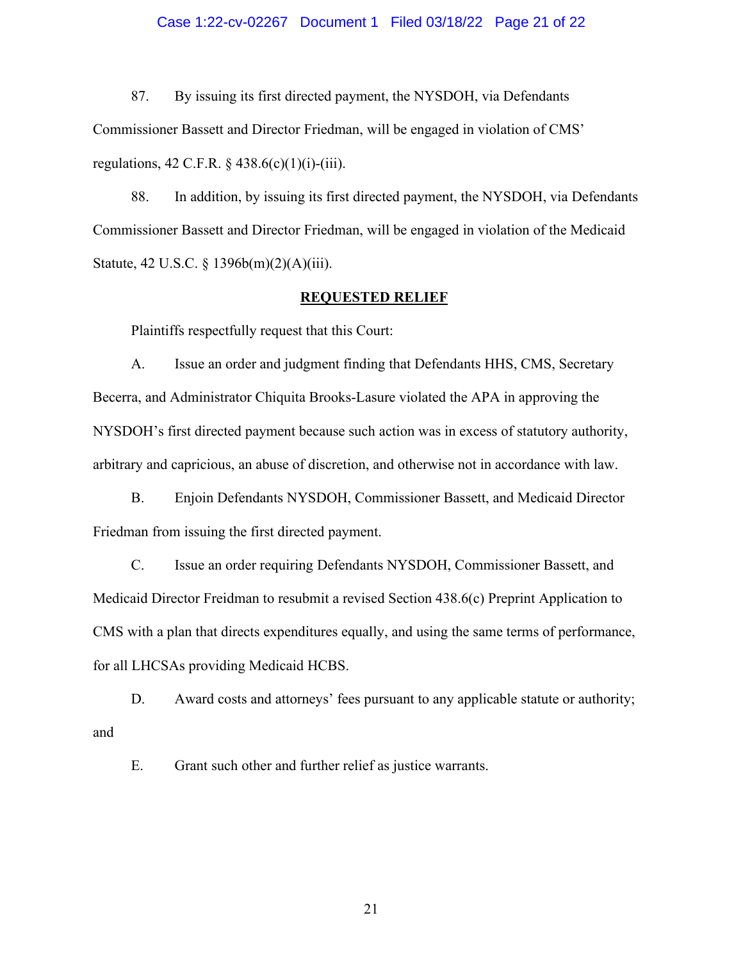#### Case 1:22-cv-02267 Document 1 Filed 03/18/22 Page 21 of 22

87. By issuing its first directed payment, the NYSDOH, via Defendants Commissioner Bassett and Director Friedman, will be engaged in violation of CMS' regulations, 42 C.F.R.  $\S$  438.6(c)(1)(i)-(iii).

88. In addition, by issuing its first directed payment, the NYSDOH, via Defendants Commissioner Bassett and Director Friedman, will be engaged in violation of the Medicaid Statute, 42 U.S.C. § 1396b(m)(2)(A)(iii).

#### **REQUESTED RELIEF**

Plaintiffs respectfully request that this Court:

A. Issue an order and judgment finding that Defendants HHS, CMS, Secretary Becerra, and Administrator Chiquita Brooks-Lasure violated the APA in approving the NYSDOH's first directed payment because such action was in excess of statutory authority, arbitrary and capricious, an abuse of discretion, and otherwise not in accordance with law.

B. Enjoin Defendants NYSDOH, Commissioner Bassett, and Medicaid Director Friedman from issuing the first directed payment.

C. Issue an order requiring Defendants NYSDOH, Commissioner Bassett, and Medicaid Director Freidman to resubmit a revised Section 438.6(c) Preprint Application to CMS with a plan that directs expenditures equally, and using the same terms of performance, for all LHCSAs providing Medicaid HCBS.

D. Award costs and attorneys' fees pursuant to any applicable statute or authority; and

E. Grant such other and further relief as justice warrants.